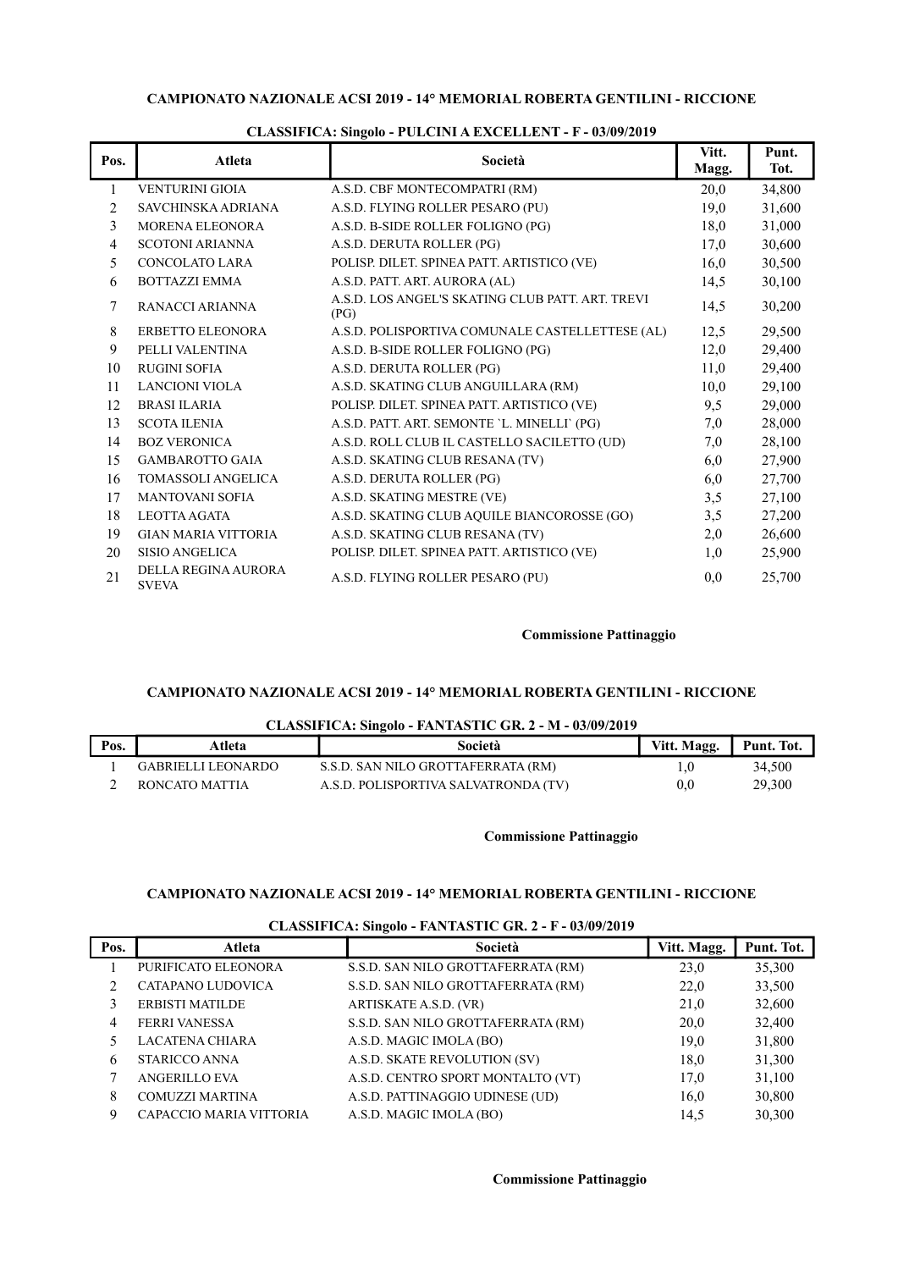## CAMPIONATO NAZIONALE ACSI 2019 - 14° MEMORIAL ROBERTA GENTILINI - RICCIONE

| Pos. | Atleta                              | Società                                                  | Vitt.<br>Magg. | Punt.<br>Tot. |
|------|-------------------------------------|----------------------------------------------------------|----------------|---------------|
| 1    | <b>VENTURINI GIOIA</b>              | A.S.D. CBF MONTECOMPATRI (RM)                            | 20,0           | 34,800        |
| 2    | SAVCHINSKA ADRIANA                  | A.S.D. FLYING ROLLER PESARO (PU)                         | 19,0           | 31,600        |
| 3    | <b>MORENA ELEONORA</b>              | A.S.D. B-SIDE ROLLER FOLIGNO (PG)                        | 18,0           | 31,000        |
| 4    | <b>SCOTONI ARIANNA</b>              | A.S.D. DERUTA ROLLER (PG)                                | 17,0           | 30,600        |
| 5    | <b>CONCOLATO LARA</b>               | POLISP. DILET. SPINEA PATT. ARTISTICO (VE)               | 16,0           | 30,500        |
| 6    | <b>BOTTAZZI EMMA</b>                | A.S.D. PATT. ART. AURORA (AL)                            | 14,5           | 30,100        |
| 7    | RANACCI ARIANNA                     | A.S.D. LOS ANGEL'S SKATING CLUB PATT. ART. TREVI<br>(PG) | 14,5           | 30,200        |
| 8    | <b>ERBETTO ELEONORA</b>             | A.S.D. POLISPORTIVA COMUNALE CASTELLETTESE (AL)          | 12,5           | 29,500        |
| 9    | PELLI VALENTINA                     | A.S.D. B-SIDE ROLLER FOLIGNO (PG)                        | 12,0           | 29,400        |
| 10   | <b>RUGINI SOFIA</b>                 | A.S.D. DERUTA ROLLER (PG)                                | 11,0           | 29,400        |
| 11   | <b>LANCIONI VIOLA</b>               | A.S.D. SKATING CLUB ANGUILLARA (RM)                      | 10,0           | 29,100        |
| 12   | <b>BRASI ILARIA</b>                 | POLISP. DILET. SPINEA PATT. ARTISTICO (VE)               | 9,5            | 29,000        |
| 13   | <b>SCOTA ILENIA</b>                 | A.S.D. PATT. ART. SEMONTE 'L. MINELLI' (PG)              | 7,0            | 28,000        |
| 14   | <b>BOZ VERONICA</b>                 | A.S.D. ROLL CLUB IL CASTELLO SACILETTO (UD)              | 7,0            | 28,100        |
| 15   | <b>GAMBAROTTO GAIA</b>              | A.S.D. SKATING CLUB RESANA (TV)                          | 6,0            | 27,900        |
| 16   | <b>TOMASSOLI ANGELICA</b>           | A.S.D. DERUTA ROLLER (PG)                                | 6,0            | 27,700        |
| 17   | <b>MANTOVANI SOFIA</b>              | A.S.D. SKATING MESTRE (VE)                               | 3,5            | 27,100        |
| 18   | <b>LEOTTA AGATA</b>                 | A.S.D. SKATING CLUB AQUILE BIANCOROSSE (GO)              | 3,5            | 27,200        |
| 19   | <b>GIAN MARIA VITTORIA</b>          | A.S.D. SKATING CLUB RESANA (TV)                          | 2,0            | 26,600        |
| 20   | <b>SISIO ANGELICA</b>               | POLISP. DILET. SPINEA PATT. ARTISTICO (VE)               | 1,0            | 25,900        |
| 21   | DELLA REGINA AURORA<br><b>SVEVA</b> | A.S.D. FLYING ROLLER PESARO (PU)                         | 0.0            | 25,700        |

### CLASSIFICA: Singolo - PULCINI A EXCELLENT - F - 03/09/2019

#### Commissione Pattinaggio

# CAMPIONATO NAZIONALE ACSI 2019 - 14° MEMORIAL ROBERTA GENTILINI - RICCIONE

### CLASSIFICA: Singolo - FANTASTIC GR. 2 - M - 03/09/2019

| Pos. | Atleta             | Società                              | Vitt. Magg. | Punt. Tot. |
|------|--------------------|--------------------------------------|-------------|------------|
|      | GABRIELLI LEONARDO | S.S.D. SAN NILO GROTTAFERRATA (RM)   |             | 34,500     |
|      | RONCATO MATTIA     | A.S.D. POLISPORTIVA SALVATRONDA (TV) | $\rm 0.0$   | 29.300     |

### Commissione Pattinaggio

# CAMPIONATO NAZIONALE ACSI 2019 - 14° MEMORIAL ROBERTA GENTILINI - RICCIONE

|      |                         | CLASSIFICA, SHIGOO - FAIVIASTIC GIV, 2 - F - 09/07/2017 |             |            |
|------|-------------------------|---------------------------------------------------------|-------------|------------|
| Pos. | Atleta                  | Società                                                 | Vitt. Magg. | Punt. Tot. |
|      | PURIFICATO ELEONORA     | S.S.D. SAN NILO GROTTAFERRATA (RM)                      | 23,0        | 35,300     |
|      | CATAPANO LUDOVICA       | S.S.D. SAN NILO GROTTAFERRATA (RM)                      | 22,0        | 33,500     |
| 3    | <b>ERBISTI MATILDE</b>  | ARTISKATE A.S.D. (VR)                                   | 21,0        | 32,600     |
| 4    | <b>FERRI VANESSA</b>    | S.S.D. SAN NILO GROTTAFERRATA (RM)                      | 20,0        | 32,400     |
|      | <b>LACATENA CHIARA</b>  | A.S.D. MAGIC IMOLA (BO)                                 | 19,0        | 31,800     |
| 6    | STARICCO ANNA           | A.S.D. SKATE REVOLUTION (SV)                            | 18,0        | 31,300     |
|      | <b>ANGERILLO EVA</b>    | A.S.D. CENTRO SPORT MONTALTO (VT)                       | 17,0        | 31,100     |
| 8    | <b>COMUZZI MARTINA</b>  | A.S.D. PATTINAGGIO UDINESE (UD)                         | 16,0        | 30,800     |
| 9    | CAPACCIO MARIA VITTORIA | A.S.D. MAGIC IMOLA (BO)                                 | 14,5        | 30,300     |

### CLASSIFICA: Singolo - FANTASTIC GR. 2 - F - 03/09/2019

### Commissione Pattinaggio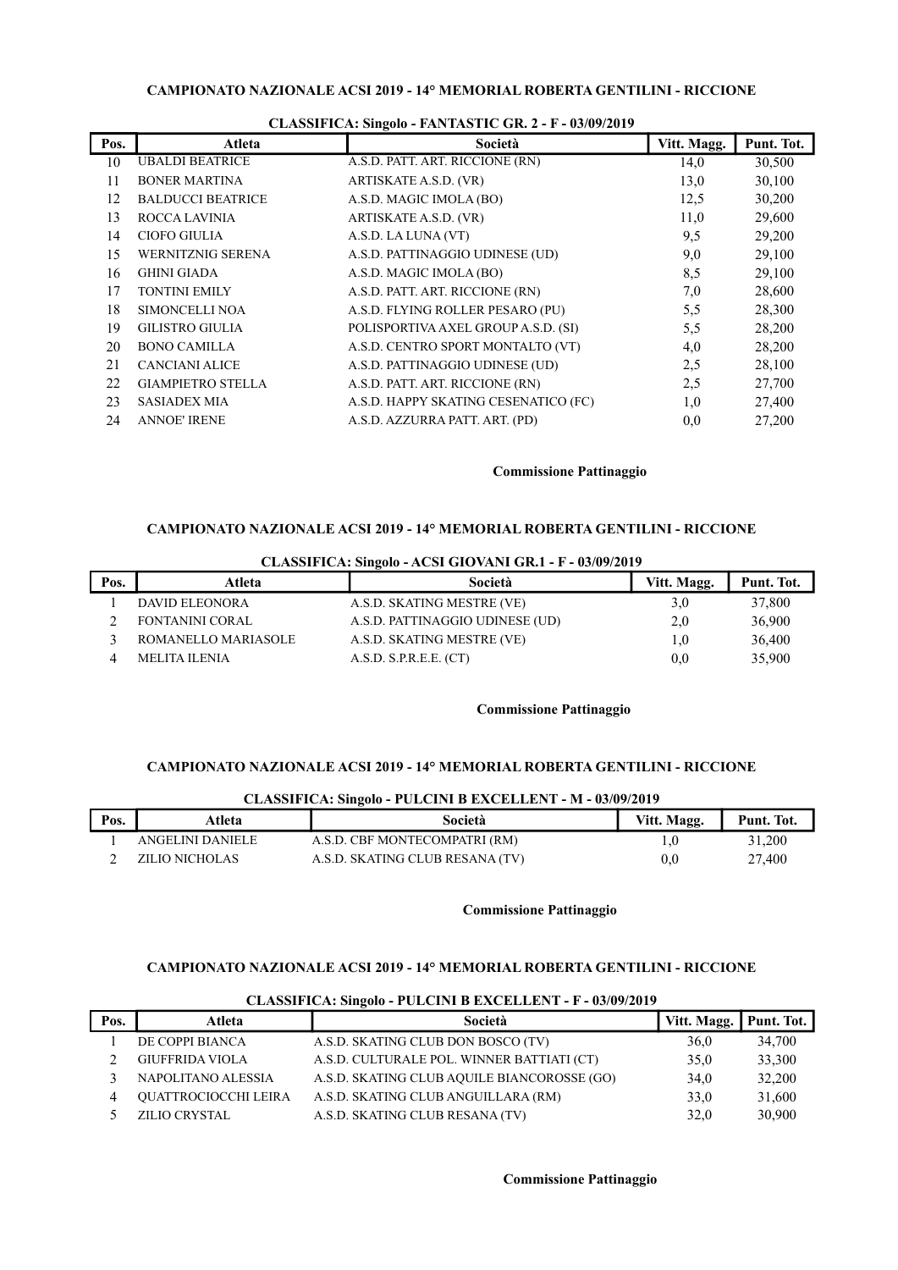| Pos. | Atleta                   | Società                              | Vitt. Magg. | Punt. Tot. |
|------|--------------------------|--------------------------------------|-------------|------------|
| 10   | <b>UBALDI BEATRICE</b>   | A.S.D. PATT. ART. RICCIONE (RN)      | 14,0        | 30,500     |
| 11   | <b>BONER MARTINA</b>     | ARTISKATE A.S.D. (VR)                | 13,0        | 30,100     |
| 12   | <b>BALDUCCI BEATRICE</b> | A.S.D. MAGIC IMOLA (BO)              | 12,5        | 30,200     |
| 13   | ROCCA LAVINIA            | ARTISKATE A.S.D. (VR)                | 11,0        | 29,600     |
| 14   | <b>CIOFO GIULIA</b>      | A.S.D. LA LUNA (VT)                  | 9,5         | 29,200     |
| 15   | WERNITZNIG SERENA        | A.S.D. PATTINAGGIO UDINESE (UD)      | 9,0         | 29,100     |
| 16   | <b>GHINI GIADA</b>       | A.S.D. MAGIC IMOLA (BO)              | 8,5         | 29,100     |
| 17   | <b>TONTINI EMILY</b>     | A.S.D. PATT. ART. RICCIONE (RN)      | 7,0         | 28,600     |
| 18   | SIMONCELLI NOA           | A.S.D. FLYING ROLLER PESARO (PU)     | 5,5         | 28,300     |
| 19   | <b>GILISTRO GIULIA</b>   | POLISPORTIVA AXEL GROUP A.S.D. (SI)  | 5,5         | 28,200     |
| 20   | <b>BONO CAMILLA</b>      | A.S.D. CENTRO SPORT MONTALTO (VT)    | 4,0         | 28,200     |
| 21   | <b>CANCIANI ALICE</b>    | A.S.D. PATTINAGGIO UDINESE (UD)      | 2,5         | 28,100     |
| 22   | <b>GIAMPIETRO STELLA</b> | A.S.D. PATT. ART. RICCIONE (RN)      | 2,5         | 27,700     |
| 23   | <b>SASIADEX MIA</b>      | A.S.D. HAPPY SKATING CESENATICO (FC) | 1,0         | 27,400     |
| 24   | <b>ANNOE' IRENE</b>      | A.S.D. AZZURRA PATT. ART. (PD)       | 0,0         | 27,200     |
|      |                          |                                      |             |            |

#### CLASSIFICA: Singolo - FANTASTIC GR. 2 - F - 03/09/2019

### Commissione Pattinaggio

# CAMPIONATO NAZIONALE ACSI 2019 - 14° MEMORIAL ROBERTA GENTILINI - RICCIONE

|      | CLASSIFICA, SHIGOO - ACSI GIOVANI GR.I - F - 03/07/2017 |                                 |             |            |
|------|---------------------------------------------------------|---------------------------------|-------------|------------|
| Pos. | Atleta                                                  | Società                         | Vitt. Magg. | Punt. Tot. |
|      | <b>DAVID ELEONORA</b>                                   | A.S.D. SKATING MESTRE (VE)      | 3,0         | 37,800     |
|      | <b>FONTANINI CORAL</b>                                  | A.S.D. PATTINAGGIO UDINESE (UD) | 2,0         | 36,900     |
|      | ROMANELLO MARIASOLE                                     | A.S.D. SKATING MESTRE (VE)      | 1,0         | 36,400     |
|      | MELITA ILENIA                                           | A.S.D. S.P.R.E.E. (CT)          | 0,0         | 35,900     |

# CLASSIFICA: Singolo - ACSI GIOVANI GR.1 - F - 03/09/2019

### Commissione Pattinaggio

### CAMPIONATO NAZIONALE ACSI 2019 - 14° MEMORIAL ROBERTA GENTILINI - RICCIONE

|      | CLASSIFICA; SHIGOIO - FULCINI D EACELLENI - M - 03/09/2019 |                                 |             |            |  |  |
|------|------------------------------------------------------------|---------------------------------|-------------|------------|--|--|
| Pos. | Atleta                                                     | Società                         | Vitt. Magg. | Punt. Tot. |  |  |
|      | ANGELINI DANIELE                                           | A.S.D. CBF MONTECOMPATRI (RM)   |             | 31,200     |  |  |
|      | ZILIO NICHOLAS                                             | A.S.D. SKATING CLUB RESANA (TV) | $0.0\,$     | 27,400     |  |  |

# CLASSIFICA: Singolo - PULCINI B EXCELLENT - M - 03/09/2019

#### Commissione Pattinaggio

### CAMPIONATO NAZIONALE ACSI 2019 - 14° MEMORIAL ROBERTA GENTILINI - RICCIONE

|      |                             | CLASSIFICA: SIN2010 - PULCINI B EACELLEN I - F - 03/09/2019 |                          |        |
|------|-----------------------------|-------------------------------------------------------------|--------------------------|--------|
| Pos. | Atleta                      | Società                                                     | Vitt. Magg.   Punt. Tot. |        |
|      | DE COPPI BIANCA             | A.S.D. SKATING CLUB DON BOSCO (TV)                          | 36,0                     | 34,700 |
|      | <b>GIUFFRIDA VIOLA</b>      | A.S.D. CULTURALE POL. WINNER BATTIATI (CT)                  | 35.0                     | 33,300 |
|      | NAPOLITANO ALESSIA          | A.S.D. SKATING CLUB AQUILE BIANCOROSSE (GO)                 | 34.0                     | 32,200 |
| 4    | <b>QUATTROCIOCCHI LEIRA</b> | A.S.D. SKATING CLUB ANGUILLARA (RM)                         | 33.0                     | 31,600 |
|      | <b>ZILIO CRYSTAL</b>        | A.S.D. SKATING CLUB RESANA (TV)                             | 32.0                     | 30,900 |

### CLASSIFICA: Singolo - PULCINI B EVCELLENT - E - 03/00/2010

### Commissione Pattinaggio